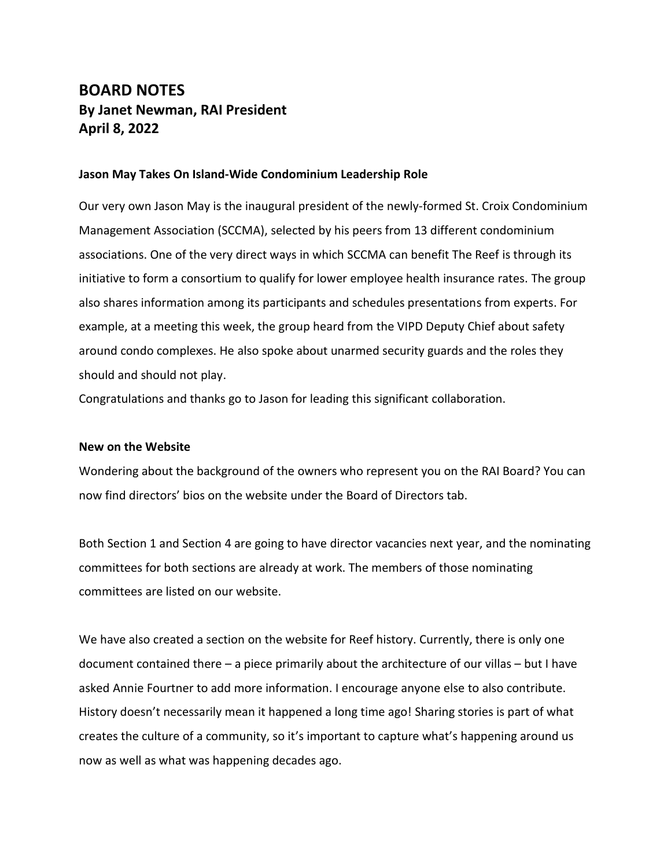# **BOARD NOTES By Janet Newman, RAI President April 8, 2022**

## **Jason May Takes On Island-Wide Condominium Leadership Role**

Our very own Jason May is the inaugural president of the newly-formed St. Croix Condominium Management Association (SCCMA), selected by his peers from 13 different condominium associations. One of the very direct ways in which SCCMA can benefit The Reef is through its initiative to form a consortium to qualify for lower employee health insurance rates. The group also shares information among its participants and schedules presentations from experts. For example, at a meeting this week, the group heard from the VIPD Deputy Chief about safety around condo complexes. He also spoke about unarmed security guards and the roles they should and should not play.

Congratulations and thanks go to Jason for leading this significant collaboration.

## **New on the Website**

Wondering about the background of the owners who represent you on the RAI Board? You can now find directors' bios on the website under the Board of Directors tab.

Both Section 1 and Section 4 are going to have director vacancies next year, and the nominating committees for both sections are already at work. The members of those nominating committees are listed on our website.

We have also created a section on the website for Reef history. Currently, there is only one document contained there – a piece primarily about the architecture of our villas – but I have asked Annie Fourtner to add more information. I encourage anyone else to also contribute. History doesn't necessarily mean it happened a long time ago! Sharing stories is part of what creates the culture of a community, so it's important to capture what's happening around us now as well as what was happening decades ago.